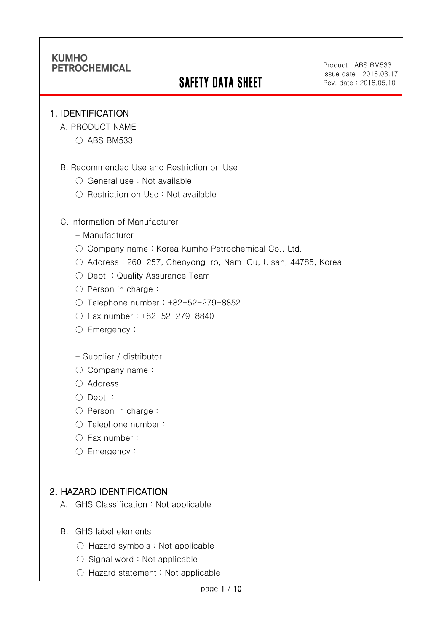# **SAFETY DATA SHEET**

Product:ABS BM533 Issue date:2016.03.17 Rev. date : 2018.05.10

#### 1. IDENTIFICATION

Ī

- A. PRODUCT NAME
	- ABS BM533
- B. Recommended Use and Restriction on Use
	- General use : Not available
	- Restriction on Use : Not available

#### C. Information of Manufacturer

- Manufacturer
- Company name: Korea Kumho Petrochemical Co., Ltd.
- Address : 260-257, Cheoyong-ro, Nam-Gu, Ulsan, 44785, Korea
- Dept. : Quality Assurance Team
- Person in charge :
- Telephone number : +82-52-279-8852
- Fax number : +82-52-279-8840
- Emergency:

#### - Supplier / distributor

- Company name:
- Address :
- Dept. :
- Person in charge :
- Telephone number :
- Fax number :
- Emergency:

### 2. HAZARD IDENTIFICATION

- A. GHS Classification : Not applicable
- B. GHS label elements
	- Hazard symbols : Not applicable
	- $\bigcirc$  Signal word : Not applicable
	- Hazard statement : Not applicable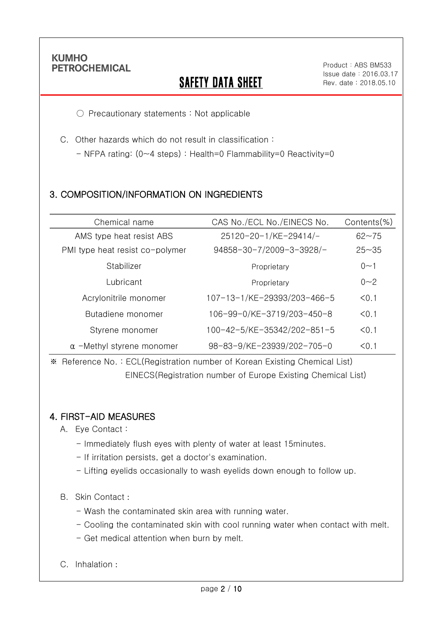Ī

# **SAFETY DATA SHEET**

Product:ABS BM533 Issue date:2016.03.17 Rev. date : 2018.05.10

○ Precautionary statements : Not applicable

C. Other hazards which do not result in classification :

- NFPA rating: (0~4 steps) : Health=0 Flammability=0 Reactivity=0

## 3. COMPOSITION/INFORMATION ON INGREDIENTS

| Chemical name                    | CAS No./ECL No./EINECS No.  | Contents(%) |
|----------------------------------|-----------------------------|-------------|
| AMS type heat resist ABS         | 25120-20-1/KE-29414/-       | $62 - 75$   |
| PMI type heat resist co-polymer  | 94858-30-7/2009-3-3928/-    | $25 - 35$   |
| Stabilizer                       | Proprietary                 | $0 - 1$     |
| Lubricant                        | Proprietary                 | $0 - 2$     |
| Acrylonitrile monomer            | 107-13-1/KE-29393/203-466-5 | < 0.1       |
| Butadiene monomer                | 106-99-0/KE-3719/203-450-8  | < 0.1       |
| Styrene monomer                  | 100-42-5/KE-35342/202-851-5 | < 0.1       |
| $\alpha$ -Methyl styrene monomer | 98-83-9/KE-23939/202-705-0  | < 0.1       |

※ Reference No. : ECL(Registration number of Korean Existing Chemical List) EINECS(Registration number of Europe Existing Chemical List)

#### 4. FIRST-AID MEASURES

A. Eye Contact :

- Immediately flush eyes with plenty of water at least 15minutes.
- If irritation persists, get a doctor's examination.
- Lifting eyelids occasionally to wash eyelids down enough to follow up.

#### B. Skin Contact :

- Wash the contaminated skin area with running water.
- Cooling the contaminated skin with cool running water when contact with melt.
- Get medical attention when burn by melt.
- C. Inhalation :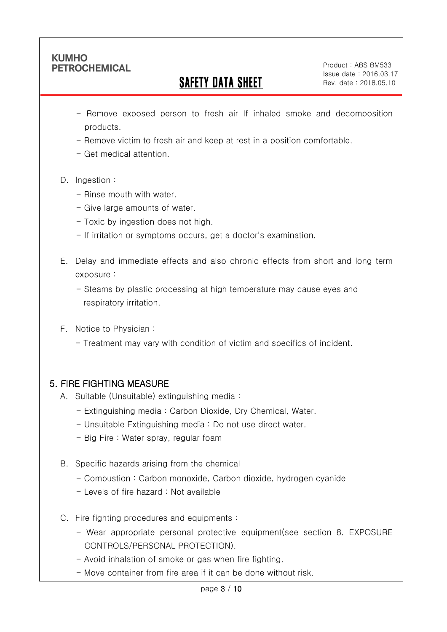Ī

# SAFETY DATA SHEET

Product:ABS BM533 Issue date:2016.03.17 Rev. date : 2018.05.10

- Remove exposed person to fresh air If inhaled smoke and decomposition products.
- Remove victim to fresh air and keep at rest in a position comfortable.
- Get medical attention.
- D. Ingestion:
	- Rinse mouth with water
	- Give large amounts of water.
	- Toxic by ingestion does not high.
	- If irritation or symptoms occurs, get a doctor's examination.
- E. Delay and immediate effects and also chronic effects from short and long term exposure :
	- Steams by plastic processing at high temperature may cause eyes and respiratory irritation.
- F. Notice to Physician :
	- Treatment may vary with condition of victim and specifics of incident.

## 5. FIRE FIGHTING MEASURE

- A. Suitable (Unsuitable) extinguishing media :
	- Extinguishing media : Carbon Dioxide, Dry Chemical, Water.
	- Unsuitable Extinguishing media : Do not use direct water.
	- Big Fire : Water spray, regular foam
- B. Specific hazards arising from the chemical
	- Combustion : Carbon monoxide, Carbon dioxide, hydrogen cyanide
	- Levels of fire hazard : Not available
- C. Fire fighting procedures and equipments :
	- Wear appropriate personal protective equipment(see section 8. EXPOSURE CONTROLS/PERSONAL PROTECTION).
	- Avoid inhalation of smoke or gas when fire fighting.
	- Move container from fire area if it can be done without risk.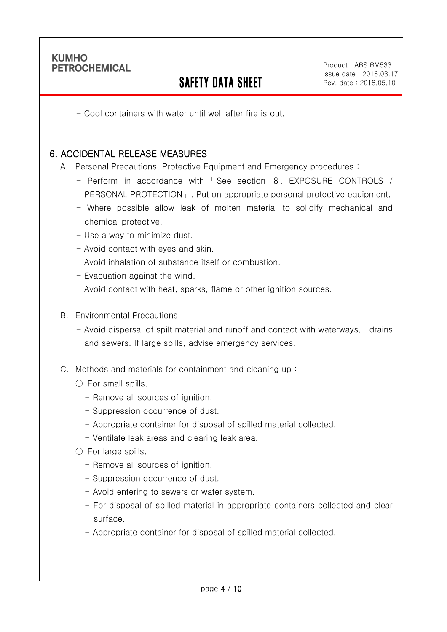Ī

# SAFETY DATA SHEET

Product:ABS BM533 Issue date:2016.03.17 Rev. date : 2018.05.10

- Cool containers with water until well after fire is out.

#### 6. ACCIDENTAL RELEASE MEASURES

A. Personal Precautions, Protective Equipment and Emergency procedures :

- Perform in accordance with 「 See section 8. EXPOSURE CONTROLS / PERSONAL PROTECTION」. Put on appropriate personal protective equipment.
- Where possible allow leak of molten material to solidify mechanical and chemical protective.
- Use a way to minimize dust.
- Avoid contact with eyes and skin.
- Avoid inhalation of substance itself or combustion.
- Evacuation against the wind.
- Avoid contact with heat, sparks, flame or other ignition sources.
- B. Environmental Precautions
	- Avoid dispersal of spilt material and runoff and contact with waterways, drains and sewers. If large spills, advise emergency services.
- C. Methods and materials for containment and cleaning up :
	- $\bigcirc$  For small spills.
		- Remove all sources of ignition.
		- Suppression occurrence of dust.
		- Appropriate container for disposal of spilled material collected.
		- Ventilate leak areas and clearing leak area.
	- For large spills.
		- Remove all sources of ignition.
		- Suppression occurrence of dust.
		- Avoid entering to sewers or water system.
		- For disposal of spilled material in appropriate containers collected and clear surface.
		- Appropriate container for disposal of spilled material collected.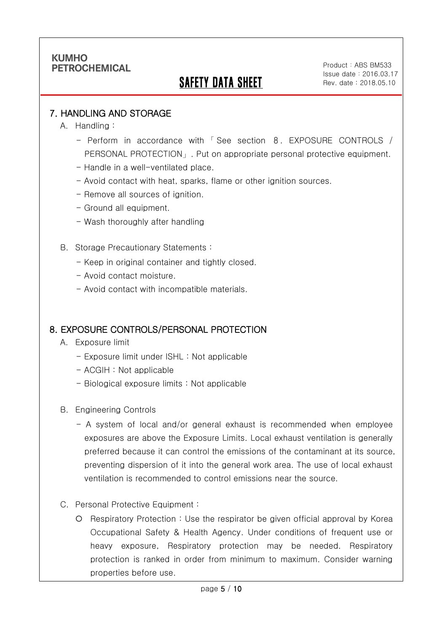# SAFETY DATA SHEET

Product:ABS BM533 Issue date:2016.03.17 Rev. date : 2018.05.10

#### 7. HANDLING AND STORAGE

A. Handling :

Ī

- Perform in accordance with 「 See section 8. EXPOSURE CONTROLS / PERSONAL PROTECTION」. Put on appropriate personal protective equipment.
- Handle in a well-ventilated place.
- Avoid contact with heat, sparks, flame or other ignition sources.
- Remove all sources of ignition.
- Ground all equipment.
- Wash thoroughly after handling
- B. Storage Precautionary Statements :
	- Keep in original container and tightly closed.
	- Avoid contact moisture.
	- Avoid contact with incompatible materials.

#### 8. EXPOSURE CONTROLS/PERSONAL PROTECTION

- A. Exposure limit
	- Exposure limit under ISHL : Not applicable
	- ACGIH : Not applicable
	- Biological exposure limits : Not applicable
- B. Engineering Controls
	- A system of local and/or general exhaust is recommended when employee exposures are above the Exposure Limits. Local exhaust ventilation is generally preferred because it can control the emissions of the contaminant at its source, preventing dispersion of it into the general work area. The use of local exhaust ventilation is recommended to control emissions near the source.
- C. Personal Protective Equipment :
	- Respiratory Protection : Use the respirator be given official approval by Korea Occupational Safety & Health Agency. Under conditions of frequent use or heavy exposure, Respiratory protection may be needed. Respiratory protection is ranked in order from minimum to maximum. Consider warning properties before use.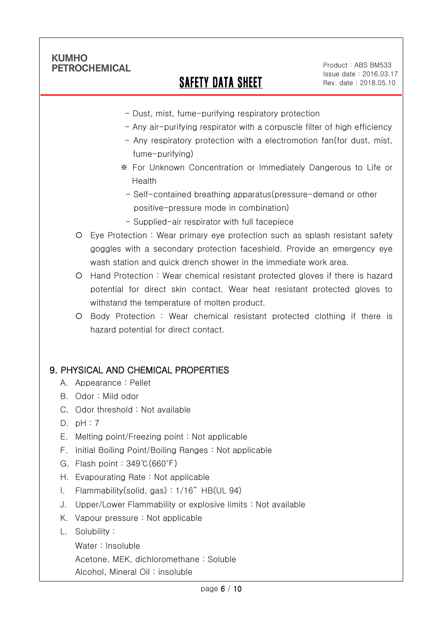Ī

# SAFETY DATA SHEET

Product:ABS BM533 Issue date:2016.03.17 Rev. date : 2018.05.10

- Dust, mist, fume-purifying respiratory protection
- Any air-purifying respirator with a corpuscle filter of high efficiency
- Any respiratory protection with a electromotion fan(for dust, mist, fume-purifying)
- ※ For Unknown Concentration or Immediately Dangerous to Life or Health
- Self-contained breathing apparatus(pressure-demand or other positive-pressure mode in combination)
- Supplied-air respirator with full facepiece
- Eye Protection : Wear primary eye protection such as splash resistant safety goggles with a secondary protection faceshield. Provide an emergency eye wash station and quick drench shower in the immediate work area.
- Hand Protection : Wear chemical resistant protected gloves if there is hazard potential for direct skin contact. Wear heat resistant protected gloves to withstand the temperature of molten product.
- Body Protection : Wear chemical resistant protected clothing if there is hazard potential for direct contact.

### 9. PHYSICAL AND CHEMICAL PROPERTIES

- A. Appearance : Pellet
- B. Odor : Mild odor
- C. Odor threshold : Not available
- D. pH : 7
- E. Melting point/Freezing point : Not applicable
- F. Initial Boiling Point/Boiling Ranges : Not applicable
- G. Flash point : 349℃(660℉)
- H. Evapourating Rate : Not applicable
- I. Flammability(solid, gas) : 1/16" HB(UL 94)
- J. Upper/Lower Flammability or explosive limits : Not available
- K. Vapour pressure : Not applicable
- L. Solubility :
	- Water : Insoluble

Acetone, MEK, dichloromethane : Soluble

Alcohol, Mineral Oil : insoluble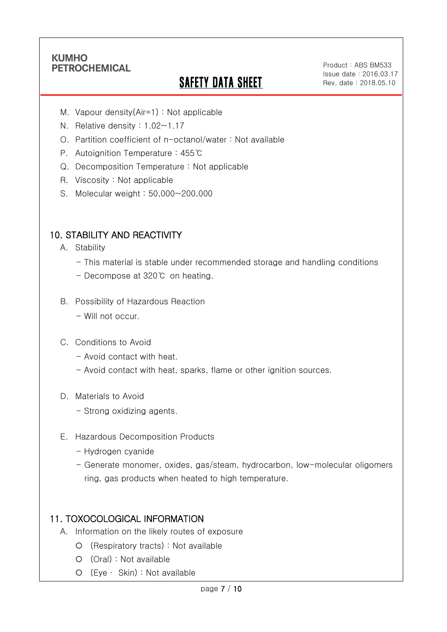Ī

# **SAFETY DATA SHEET**

Product:ABS BM533 Issue date:2016.03.17 Rev. date : 2018.05.10

- M. Vapour density(Air=1) : Not applicable
- N. Relative density : 1.02~1.17
- O. Partition coefficient of n-octanol/water : Not available
- P. Autoignition Temperature : 455℃
- Q. Decomposition Temperature : Not applicable
- R. Viscosity : Not applicable
- S. Molecular weight : 50,000~200,000

### 10. STABILITY AND REACTIVITY

- A. Stability
	- This material is stable under recommended storage and handling conditions
	- Decompose at 320℃ on heating.
- B. Possibility of Hazardous Reaction
	- Will not occur.
- C. Conditions to Avoid
	- Avoid contact with heat.
	- Avoid contact with heat, sparks, flame or other ignition sources.
- D. Materials to Avoid
	- Strong oxidizing agents.
- E. Hazardous Decomposition Products
	- Hydrogen cyanide
	- Generate monomer, oxides, gas/steam, hydrocarbon, low-molecular oligomers ring, gas products when heated to high temperature.

### 11. TOXOCOLOGICAL INFORMATION

- A. Information on the likely routes of exposure
	- (Respiratory tracts) : Not available
	- (Oral) : Not available
	- (Eye ∙ Skin) : Not available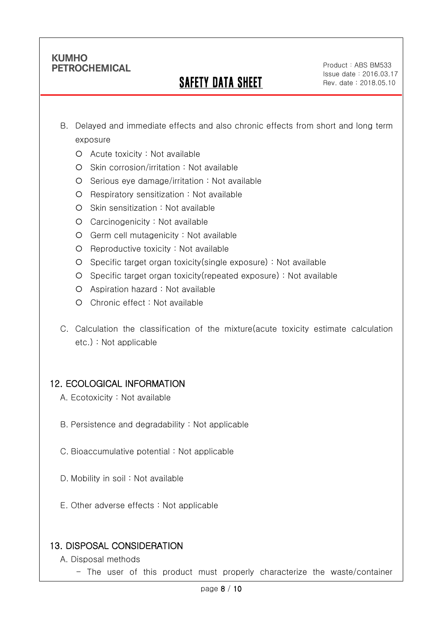Ī

# SAFETY DATA SHEET

Product:ABS BM533 Issue date:2016.03.17 Rev. date : 2018.05.10

- B. Delayed and immediate effects and also chronic effects from short and long term exposure
	- Acute toxicity : Not available
	- O Skin corrosion/irritation : Not available
	- $O$  Serious eye damage/irritation : Not available
	- O Respiratory sensitization : Not available
	- O Skin sensitization : Not available
	- Carcinogenicity : Not available
	- Germ cell mutagenicity : Not available
	- $O$  Reproductive toxicity : Not available
	- Specific target organ toxicity(single exposure) : Not available
	- Specific target organ toxicity(repeated exposure) : Not available
	- Aspiration hazard : Not available
	- Chronic effect : Not available
- C. Calculation the classification of the mixture(acute toxicity estimate calculation etc.) : Not applicable

### 12. ECOLOGICAL INFORMATION

- A. Ecotoxicity : Not available
- B. Persistence and degradability : Not applicable
- C. Bioaccumulative potential : Not applicable
- D. Mobility in soil : Not available
- E. Other adverse effects : Not applicable

### 13. DISPOSAL CONSIDERATION

- A. Disposal methods
	- The user of this product must properly characterize the waste/container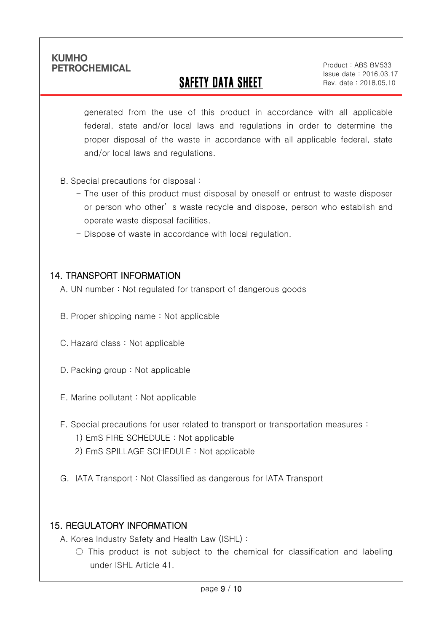Ī

# SAFETY DATA SHEET

Product:ABS BM533 Issue date:2016.03.17 Rev. date : 2018.05.10

generated from the use of this product in accordance with all applicable federal, state and/or local laws and regulations in order to determine the proper disposal of the waste in accordance with all applicable federal, state and/or local laws and regulations.

- B. Special precautions for disposal :
	- The user of this product must disposal by oneself or entrust to waste disposer or person who other' s waste recycle and dispose, person who establish and operate waste disposal facilities.
	- Dispose of waste in accordance with local regulation.

#### 14. TRANSPORT INFORMATION

- A. UN number : Not regulated for transport of dangerous goods
- B. Proper shipping name : Not applicable
- C. Hazard class : Not applicable
- D. Packing group : Not applicable
- E. Marine pollutant : Not applicable
- F. Special precautions for user related to transport or transportation measures :
	- 1) EmS FIRE SCHEDULE : Not applicable
	- 2) EmS SPILLAGE SCHEDULE : Not applicable
- G. IATA Transport : Not Classified as dangerous for IATA Transport

### 15. REGULATORY INFORMATION

A. Korea Industry Safety and Health Law (ISHL) :

 $\bigcirc$  This product is not subject to the chemical for classification and labeling under ISHL Article 41.